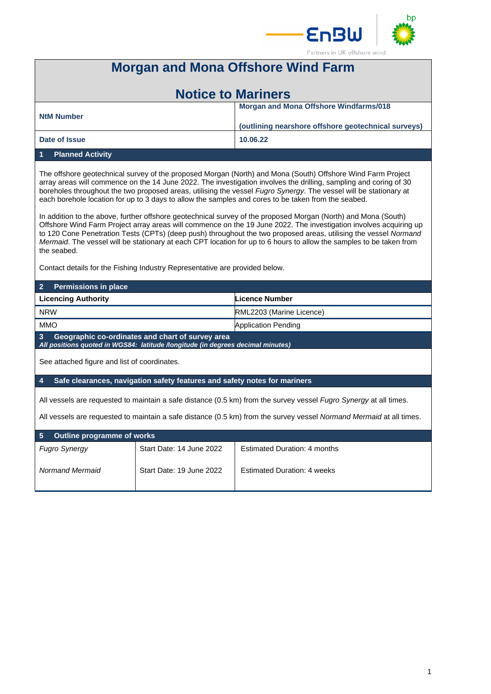



# **Morgan and Mona Offshore Wind Farm**

| <b>Notice to Mariners</b> |                                                     |  |
|---------------------------|-----------------------------------------------------|--|
| <b>NtM Number</b>         | <b>Morgan and Mona Offshore Windfarms/018</b>       |  |
|                           | (outlining nearshore offshore geotechnical surveys) |  |
| Date of Issue             | 10.06.22                                            |  |
|                           |                                                     |  |

### **1 Planned Activity**

The offshore geotechnical survey of the proposed Morgan (North) and Mona (South) Offshore Wind Farm Project array areas will commence on the 14 June 2022. The investigation involves the drilling, sampling and coring of 30 boreholes throughout the two proposed areas, utilising the vessel *Fugro Synergy*. The vessel will be stationary at each borehole location for up to 3 days to allow the samples and cores to be taken from the seabed.

In addition to the above, further offshore geotechnical survey of the proposed Morgan (North) and Mona (South) Offshore Wind Farm Project array areas will commence on the 19 June 2022. The investigation involves acquiring up to 120 Cone Penetration Tests (CPTs) (deep push) throughout the two proposed areas, utilising the vessel *Normand Mermaid*. The vessel will be stationary at each CPT location for up to 6 hours to allow the samples to be taken from the seabed.

Contact details for the Fishing Industry Representative are provided below.

| $\overline{2}$<br><b>Permissions in place</b>                                                                                                         |                          |                                     |  |
|-------------------------------------------------------------------------------------------------------------------------------------------------------|--------------------------|-------------------------------------|--|
| <b>Licencing Authority</b>                                                                                                                            |                          | Licence Number                      |  |
| <b>NRW</b>                                                                                                                                            |                          | RML2203 (Marine Licence)            |  |
| <b>MMO</b>                                                                                                                                            |                          | <b>Application Pending</b>          |  |
| $\overline{3}$<br>Geographic co-ordinates and chart of survey area<br>All positions quoted in WGS84: latitude /longitude (in degrees decimal minutes) |                          |                                     |  |
| See attached figure and list of coordinates.                                                                                                          |                          |                                     |  |
| $\overline{4}$<br>Safe clearances, navigation safety features and safety notes for mariners                                                           |                          |                                     |  |
| All vessels are requested to maintain a safe distance (0.5 km) from the survey vessel <i>Fugro Synergy</i> at all times.                              |                          |                                     |  |
| All vessels are requested to maintain a safe distance (0.5 km) from the survey vessel Normand Mermaid at all times.                                   |                          |                                     |  |
| 5<br><b>Outline programme of works</b>                                                                                                                |                          |                                     |  |
| <b>Fugro Synergy</b>                                                                                                                                  | Start Date: 14 June 2022 | <b>Estimated Duration: 4 months</b> |  |
| Normand Mermaid                                                                                                                                       | Start Date: 19 June 2022 | <b>Estimated Duration: 4 weeks</b>  |  |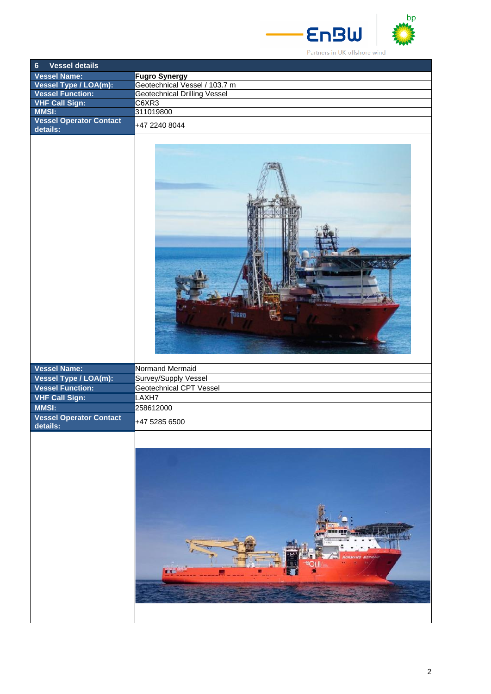

Partners in UK offshore wind

**EnBW** 

| <b>Vessel details</b><br>$\boldsymbol{6}$      |                                     |
|------------------------------------------------|-------------------------------------|
| <b>Vessel Name:</b>                            | <b>Fugro Synergy</b>                |
| Vessel Type / LOA(m):                          | Geotechnical Vessel / 103.7 m       |
| <b>Vessel Function:</b>                        | <b>Geotechnical Drilling Vessel</b> |
| <b>VHF Call Sign:</b>                          | C6XR3                               |
|                                                |                                     |
| <b>MMSI:</b><br><b>Vessel Operator Contact</b> | 311019800                           |
| details:                                       | +47 2240 8044                       |
|                                                | <b>TUGRO</b>                        |
| Vessel Name:                                   | Normand Mermaid                     |
| Vessel Type / LOA(m):                          | Survey/Supply Vessel                |
| <b>Vessel Function:</b>                        | Geotechnical CPT Vessel             |
|                                                |                                     |
| <b>VHF Call Sign:</b>                          | LAXH7                               |
| MMSI:                                          | 258612000                           |
| <b>Vessel Operator Contact</b><br>details:     | +47 5285 6500                       |
|                                                |                                     |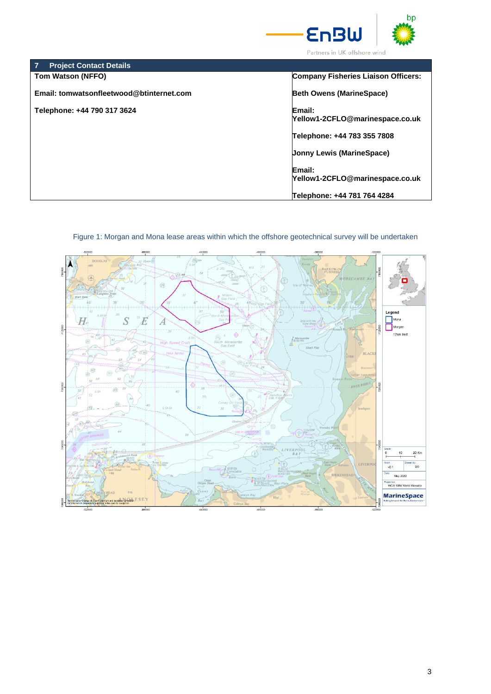

| <b>Project Contact Details</b>           |                                           |
|------------------------------------------|-------------------------------------------|
| <b>Tom Watson (NFFO)</b>                 | Company Fisheries Liaison Officers:       |
| Email: tomwatsonfleetwood@btinternet.com | <b>Beth Owens (MarineSpace)</b>           |
| Telephone: +44 790 317 3624              | Email:<br>Yellow1-2CFLO@marinespace.co.uk |
|                                          | Telephone: +44 783 355 7808               |
|                                          | <b>Jonny Lewis (MarineSpace)</b>          |
|                                          | Email:<br>Yellow1-2CFLO@marinespace.co.uk |
|                                          | Telephone: +44 781 764 4284               |



## Figure 1: Morgan and Mona lease areas within which the offshore geotechnical survey will be undertaken